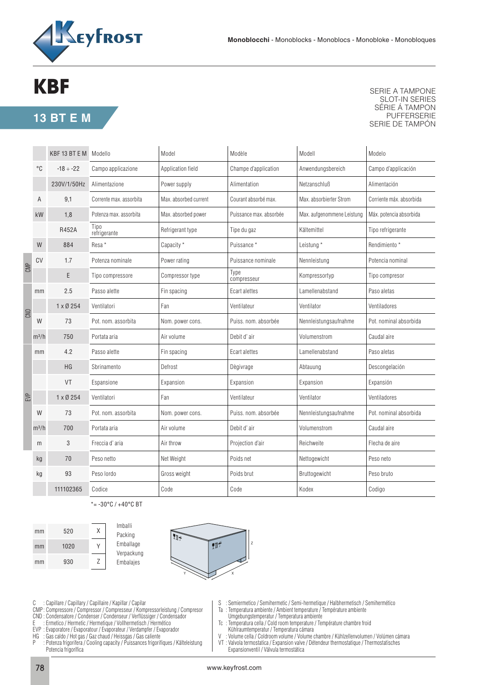

## **KBF**

**13 BT E M**

SERIE A TAMPONE SLOT-IN SERIES SÉRIE Á TAMPON PUFFERSERIE SERIE DE TAMPÓN

|     |         | KBF 13 BT E M Modello | Model<br>Modèle         |                                           | Modell                  | Modelo                     |                          |
|-----|---------|-----------------------|-------------------------|-------------------------------------------|-------------------------|----------------------------|--------------------------|
|     | °C      | $-18 \div -22$        | Campo applicazione      | Champe d'application<br>Application field |                         | Anwendungsbereich          | Campo d'applicación      |
|     |         | 230V/1/50Hz           | Alimentazione           | Power supply                              | Alimentation            | Netzanschluß               | Alimentación             |
| Α   |         | 9,1                   | Corrente max. assorbita | Max. absorbed current                     | Courant absorbé max.    | Max. absorbierter Strom    | Corriente máx. absorbida |
|     | kW      | 1,8                   | Potenza max. assorbita  | Max. absorbed power                       | Puissance max. absorbée | Max. aufgenommene Leistung | Máx. potencia absorbida  |
|     |         | R452A                 | Tipo<br>refrigerante    | Refrigerant type                          | Tipe du gaz             | Kältemittel                | Tipo refrigerante        |
| CMP | W       | 884                   | Resa <sup>*</sup>       | Capacity *                                | Puissance*              | Leistung *                 | Rendimiento *            |
|     | CV      | 1.7                   | Potenza nominale        | Power rating                              | Puissance nominale      | Nennleistung               | Potencia nominal         |
|     |         | E                     | Tipo compressore        | Compressor type                           | Type<br>compresseur     | Kompressortyp              | Tipo compresor           |
|     | mm      | 2.5                   | Passo alette            | Fin spacing                               | Ecart alettes           | Lamellenabstand            | Paso aletas              |
|     |         | $1 \times 0254$       | Ventilatori             | Fan                                       | Ventilateur             | Ventilator                 | Ventiladores             |
|     | W       | 73                    | Pot. nom. assorbita     | Nom. power cons.                          | Puiss, nom, absorbée    | Nennleistungsaufnahme      | Pot. nominal absorbida   |
|     | $m^3/h$ | 750                   | Portata aria            | Air volume                                | Debit d'air             | Volumenstrom               | Caudal aire              |
| EVP | mm      | 4.2                   | Passo alette            | Fin spacing                               | Ecart alettes           | Lamellenabstand            | Paso aletas              |
|     |         | HG                    | Sbrinamento             | Defrost                                   | Dègivrage               | Abtauung                   | Descongelación           |
|     |         | VT                    | Espansione              | Expansion                                 | Expansion               | Expansion                  | Expansión                |
|     |         | $1 \times 0254$       | Ventilatori             | Fan                                       | Ventilateur             | Ventilator                 | Ventiladores             |
|     | W       | 73                    | Pot. nom. assorbita     | Nom. power cons.                          | Puiss, nom, absorbée    | Nennleistungsaufnahme      | Pot. nominal absorbida   |
|     | $m^3/h$ | 700                   | Portata aria            | Air volume                                | Debit d'air             | Volumenstrom               | Caudal aire              |
|     | m       | 3                     | Freccia d'aria          | Air throw                                 | Projection d'air        | Reichweite                 | Flecha de aire           |
|     | kg      | 70                    | Peso netto              | Net Weight                                | Poids net               | Nettogewicht               | Peso neto                |
|     | kg      | 93                    | Peso lordo              | Gross weight                              | Poids brut              | Bruttogewicht              | Peso bruto               |
|     |         | 111102365             | Codice                  | Code                                      | Code                    | Kodex                      | Codigo                   |

\*= -30°C / +40°C BT



Imballi Packing Emballage Verpackung Embalajes



C : Capillare / Capillary / Capillaire / Kapillar / Capilar

- CMP : Compressore / Compressor / Compresseur / Kompressorleistung / Compresor
- CND : Condensatore / Condenser / Condenseur / Verflüssiger / Condensador
- E : Ermetico / Hermetic / Hermetique / Vollhermetisch / Hermético
- EVP : Evaporatore / Evaporatour / Evaporateur / Verdampfer / Evaporador
- HG : Gas caldo / Hot gas / Gaz chaud / Heissgas / Gas caliente
- P : Potenza frigorifera / Cooling capacity / Puissances frigorifiques / Kälteleistung Potencia frigorífica
- S : Semiermetico / Semihermetic / Semi-hermetique / Halbhermetisch / Semihermético
- Ta : Temperatura ambiente / Ambient temperature / Température ambiente
- Umgebungstemperatur / Temperatura ambiente
- Tc : Temperatura cella / Cold room temperature / Température chambre froid Kühlraumtemperatur / Temperatura cámara<br>V · Volume cella / Coldroom volume / Volume c
- V : Volume cella / Coldroom volume / Volume chambre / Kühlzellenvolumen / Volúmen cámara VT : Valvola termostatica / Expansion valve / Détendeur thermostatique / Thermostatisches
- Expansionventil / Válvula termostática